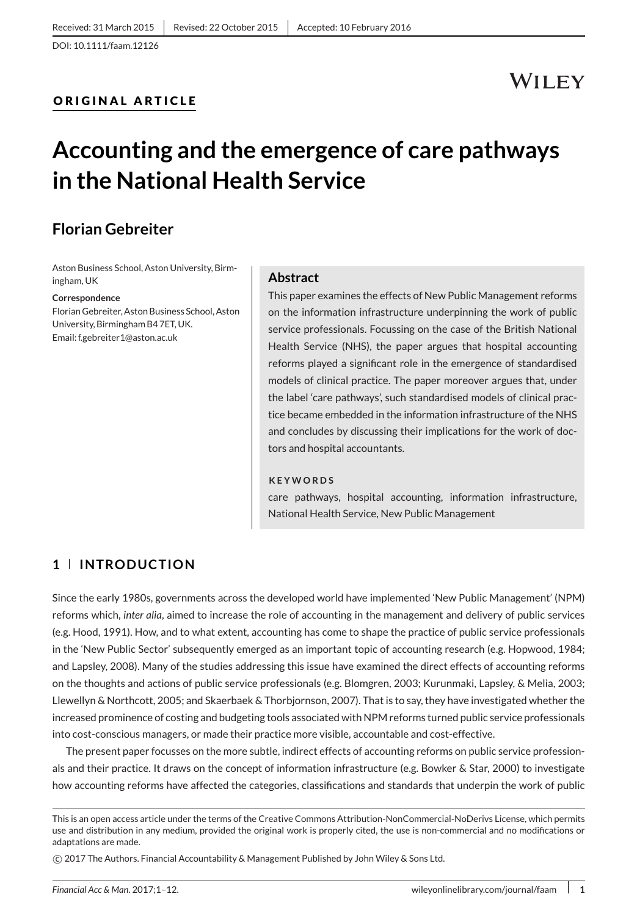## **ORIGINAL ARTICLE**

# WILEY

# **Accounting and the emergence of care pathways in the National Health Service**

# **Florian Gebreiter**

Aston Business School, Aston University, Birmingham, UK

#### **Correspondence**

Florian Gebreiter, Aston Business School, Aston University, Birmingham B4 7ET, UK. Email: f.gebreiter1@aston.ac.uk

#### **Abstract**

This paper examines the effects of New Public Management reforms on the information infrastructure underpinning the work of public service professionals. Focussing on the case of the British National Health Service (NHS), the paper argues that hospital accounting reforms played a significant role in the emergence of standardised models of clinical practice. The paper moreover argues that, under the label 'care pathways', such standardised models of clinical practice became embedded in the information infrastructure of the NHS and concludes by discussing their implications for the work of doctors and hospital accountants.

#### **KEYWORDS**

care pathways, hospital accounting, information infrastructure, National Health Service, New Public Management

## **1 INTRODUCTION**

Since the early 1980s, governments across the developed world have implemented 'New Public Management' (NPM) reforms which, *inter alia*, aimed to increase the role of accounting in the management and delivery of public services (e.g. Hood, 1991). How, and to what extent, accounting has come to shape the practice of public service professionals in the 'New Public Sector' subsequently emerged as an important topic of accounting research (e.g. Hopwood, 1984; and Lapsley, 2008). Many of the studies addressing this issue have examined the direct effects of accounting reforms on the thoughts and actions of public service professionals (e.g. Blomgren, 2003; Kurunmaki, Lapsley, & Melia, 2003; Llewellyn & Northcott, 2005; and Skaerbaek & Thorbjornson, 2007). That is to say, they have investigated whether the increased prominence of costing and budgeting tools associated with NPM reforms turned public service professionals into cost-conscious managers, or made their practice more visible, accountable and cost-effective.

The present paper focusses on the more subtle, indirect effects of accounting reforms on public service professionals and their practice. It draws on the concept of information infrastructure (e.g. Bowker & Star, 2000) to investigate how accounting reforms have affected the categories, classifications and standards that underpin the work of public

This is an open access article under the terms of the [Creative Commons Attribution-NonCommercial-NoDerivs](http://creativecommons.org/licenses/by-nc-nd/4.0/) License, which permits use and distribution in any medium, provided the original work is properly cited, the use is non-commercial and no modifications or adaptations are made.

<sup>-</sup>c 2017 The Authors. Financial Accountability & Management Published by John Wiley & Sons Ltd.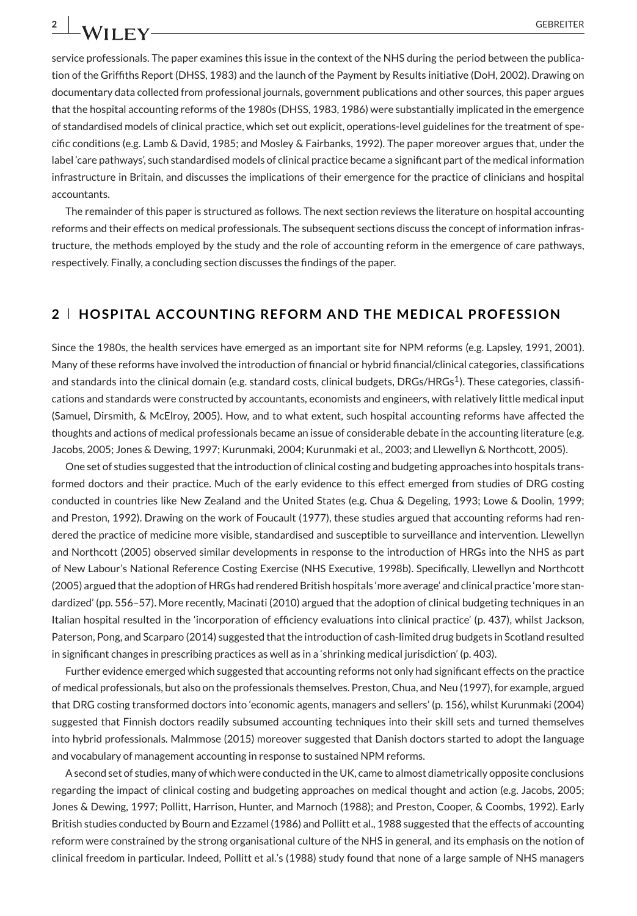service professionals. The paper examines this issue in the context of the NHS during the period between the publication of the Griffiths Report (DHSS, 1983) and the launch of the Payment by Results initiative (DoH, 2002). Drawing on documentary data collected from professional journals, government publications and other sources, this paper argues that the hospital accounting reforms of the 1980s (DHSS, 1983, 1986) were substantially implicated in the emergence of standardised models of clinical practice, which set out explicit, operations-level guidelines for the treatment of specific conditions (e.g. Lamb & David, 1985; and Mosley & Fairbanks, 1992). The paper moreover argues that, under the label 'care pathways', such standardised models of clinical practice became a significant part of the medical information infrastructure in Britain, and discusses the implications of their emergence for the practice of clinicians and hospital accountants.

The remainder of this paper is structured as follows. The next section reviews the literature on hospital accounting reforms and their effects on medical professionals. The subsequent sections discuss the concept of information infrastructure, the methods employed by the study and the role of accounting reform in the emergence of care pathways, respectively. Finally, a concluding section discusses the findings of the paper.

## **2 HOSPITAL ACCOUNTING REFORM AND THE MEDICAL PROFESSION**

Since the 1980s, the health services have emerged as an important site for NPM reforms (e.g. Lapsley, 1991, 2001). Many of these reforms have involved the introduction of financial or hybrid financial/clinical categories, classifications and standards into the clinical domain (e.g. standard costs, clinical budgets, DRGs/HRGs<sup>1</sup>). These categories, classifications and standards were constructed by accountants, economists and engineers, with relatively little medical input (Samuel, Dirsmith, & McElroy, 2005). How, and to what extent, such hospital accounting reforms have affected the thoughts and actions of medical professionals became an issue of considerable debate in the accounting literature (e.g. Jacobs, 2005; Jones & Dewing, 1997; Kurunmaki, 2004; Kurunmaki et al., 2003; and Llewellyn & Northcott, 2005).

One set of studies suggested that the introduction of clinical costing and budgeting approaches into hospitals transformed doctors and their practice. Much of the early evidence to this effect emerged from studies of DRG costing conducted in countries like New Zealand and the United States (e.g. Chua & Degeling, 1993; Lowe & Doolin, 1999; and Preston, 1992). Drawing on the work of Foucault (1977), these studies argued that accounting reforms had rendered the practice of medicine more visible, standardised and susceptible to surveillance and intervention. Llewellyn and Northcott (2005) observed similar developments in response to the introduction of HRGs into the NHS as part of New Labour's National Reference Costing Exercise (NHS Executive, 1998b). Specifically, Llewellyn and Northcott (2005) argued that the adoption of HRGs had rendered British hospitals 'more average' and clinical practice 'more standardized' (pp. 556–57). More recently, Macinati (2010) argued that the adoption of clinical budgeting techniques in an Italian hospital resulted in the 'incorporation of efficiency evaluations into clinical practice' (p. 437), whilst Jackson, Paterson, Pong, and Scarparo (2014) suggested that the introduction of cash-limited drug budgets in Scotland resulted in significant changes in prescribing practices as well as in a 'shrinking medical jurisdiction' (p. 403).

Further evidence emerged which suggested that accounting reforms not only had significant effects on the practice of medical professionals, but also on the professionals themselves. Preston, Chua, and Neu (1997), for example, argued that DRG costing transformed doctors into 'economic agents, managers and sellers' (p. 156), whilst Kurunmaki (2004) suggested that Finnish doctors readily subsumed accounting techniques into their skill sets and turned themselves into hybrid professionals. Malmmose (2015) moreover suggested that Danish doctors started to adopt the language and vocabulary of management accounting in response to sustained NPM reforms.

A second set of studies, many of which were conducted in the UK, came to almost diametrically opposite conclusions regarding the impact of clinical costing and budgeting approaches on medical thought and action (e.g. Jacobs, 2005; Jones & Dewing, 1997; Pollitt, Harrison, Hunter, and Marnoch (1988); and Preston, Cooper, & Coombs, 1992). Early British studies conducted by Bourn and Ezzamel (1986) and Pollitt et al., 1988 suggested that the effects of accounting reform were constrained by the strong organisational culture of the NHS in general, and its emphasis on the notion of clinical freedom in particular. Indeed, Pollitt et al.'s (1988) study found that none of a large sample of NHS managers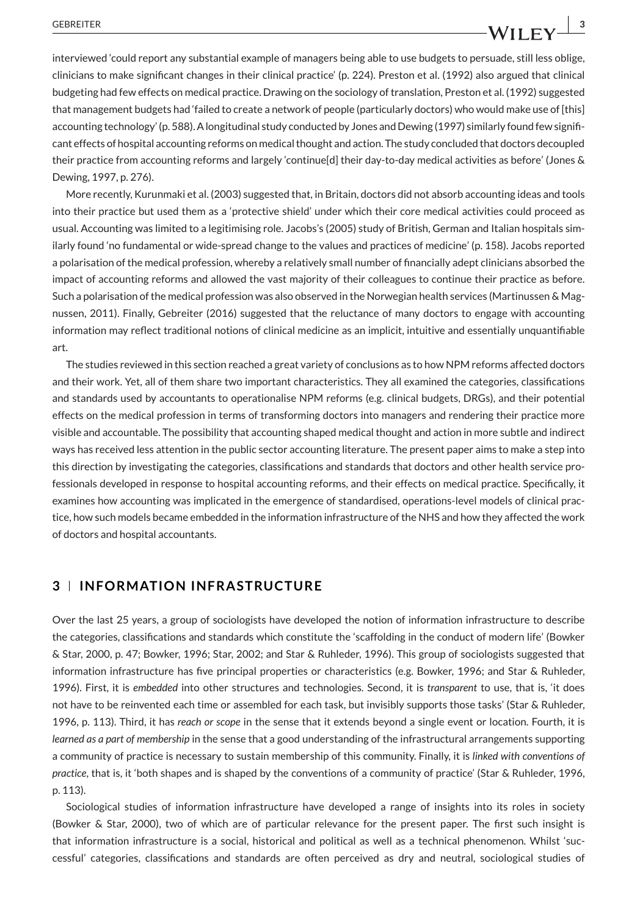interviewed 'could report any substantial example of managers being able to use budgets to persuade, still less oblige, clinicians to make significant changes in their clinical practice' (p. 224). Preston et al. (1992) also argued that clinical budgeting had few effects on medical practice. Drawing on the sociology of translation, Preston et al. (1992) suggested that management budgets had 'failed to create a network of people (particularly doctors) who would make use of [this] accounting technology' (p. 588). A longitudinal study conducted by Jones and Dewing (1997) similarly found few significant effects of hospital accounting reforms on medical thought and action. The study concluded that doctors decoupled their practice from accounting reforms and largely 'continue[d] their day-to-day medical activities as before' (Jones & Dewing, 1997, p. 276).

More recently, Kurunmaki et al. (2003) suggested that, in Britain, doctors did not absorb accounting ideas and tools into their practice but used them as a 'protective shield' under which their core medical activities could proceed as usual. Accounting was limited to a legitimising role. Jacobs's (2005) study of British, German and Italian hospitals similarly found 'no fundamental or wide-spread change to the values and practices of medicine' (p. 158). Jacobs reported a polarisation of the medical profession, whereby a relatively small number of financially adept clinicians absorbed the impact of accounting reforms and allowed the vast majority of their colleagues to continue their practice as before. Such a polarisation of the medical profession was also observed in the Norwegian health services (Martinussen & Magnussen, 2011). Finally, Gebreiter (2016) suggested that the reluctance of many doctors to engage with accounting information may reflect traditional notions of clinical medicine as an implicit, intuitive and essentially unquantifiable art.

The studies reviewed in this section reached a great variety of conclusions as to how NPM reforms affected doctors and their work. Yet, all of them share two important characteristics. They all examined the categories, classifications and standards used by accountants to operationalise NPM reforms (e.g. clinical budgets, DRGs), and their potential effects on the medical profession in terms of transforming doctors into managers and rendering their practice more visible and accountable. The possibility that accounting shaped medical thought and action in more subtle and indirect ways has received less attention in the public sector accounting literature. The present paper aims to make a step into this direction by investigating the categories, classifications and standards that doctors and other health service professionals developed in response to hospital accounting reforms, and their effects on medical practice. Specifically, it examines how accounting was implicated in the emergence of standardised, operations-level models of clinical practice, how such models became embedded in the information infrastructure of the NHS and how they affected the work of doctors and hospital accountants.

## **3 INFORMATION INFRASTRUCTURE**

Over the last 25 years, a group of sociologists have developed the notion of information infrastructure to describe the categories, classifications and standards which constitute the 'scaffolding in the conduct of modern life' (Bowker & Star, 2000, p. 47; Bowker, 1996; Star, 2002; and Star & Ruhleder, 1996). This group of sociologists suggested that information infrastructure has five principal properties or characteristics (e.g. Bowker, 1996; and Star & Ruhleder, 1996). First, it is *embedded* into other structures and technologies. Second, it is *transparent* to use, that is, 'it does not have to be reinvented each time or assembled for each task, but invisibly supports those tasks' (Star & Ruhleder, 1996, p. 113). Third, it has *reach or scope* in the sense that it extends beyond a single event or location. Fourth, it is *learned as a part of membership* in the sense that a good understanding of the infrastructural arrangements supporting a community of practice is necessary to sustain membership of this community. Finally, it is *linked with conventions of practice*, that is, it 'both shapes and is shaped by the conventions of a community of practice' (Star & Ruhleder, 1996, p. 113).

Sociological studies of information infrastructure have developed a range of insights into its roles in society (Bowker & Star, 2000), two of which are of particular relevance for the present paper. The first such insight is that information infrastructure is a social, historical and political as well as a technical phenomenon. Whilst 'successful' categories, classifications and standards are often perceived as dry and neutral, sociological studies of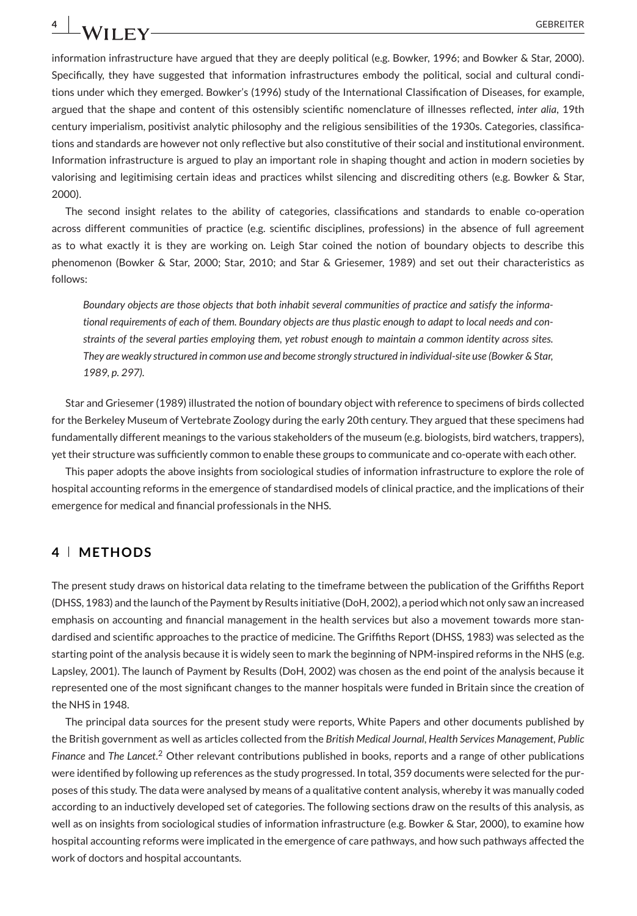information infrastructure have argued that they are deeply political (e.g. Bowker, 1996; and Bowker & Star, 2000). Specifically, they have suggested that information infrastructures embody the political, social and cultural conditions under which they emerged. Bowker's (1996) study of the International Classification of Diseases, for example, argued that the shape and content of this ostensibly scientific nomenclature of illnesses reflected, *inter alia*, 19th century imperialism, positivist analytic philosophy and the religious sensibilities of the 1930s. Categories, classifications and standards are however not only reflective but also constitutive of their social and institutional environment. Information infrastructure is argued to play an important role in shaping thought and action in modern societies by valorising and legitimising certain ideas and practices whilst silencing and discrediting others (e.g. Bowker & Star, 2000).

The second insight relates to the ability of categories, classifications and standards to enable co-operation across different communities of practice (e.g. scientific disciplines, professions) in the absence of full agreement as to what exactly it is they are working on. Leigh Star coined the notion of boundary objects to describe this phenomenon (Bowker & Star, 2000; Star, 2010; and Star & Griesemer, 1989) and set out their characteristics as follows:

*Boundary objects are those objects that both inhabit several communities of practice and satisfy the informational requirements of each of them. Boundary objects are thus plastic enough to adapt to local needs and constraints of the several parties employing them, yet robust enough to maintain a common identity across sites. They are weakly structured in common use and become strongly structured in individual-site use (Bowker & Star, 1989, p. 297).*

Star and Griesemer (1989) illustrated the notion of boundary object with reference to specimens of birds collected for the Berkeley Museum of Vertebrate Zoology during the early 20th century. They argued that these specimens had fundamentally different meanings to the various stakeholders of the museum (e.g. biologists, bird watchers, trappers), yet their structure was sufficiently common to enable these groups to communicate and co-operate with each other.

This paper adopts the above insights from sociological studies of information infrastructure to explore the role of hospital accounting reforms in the emergence of standardised models of clinical practice, and the implications of their emergence for medical and financial professionals in the NHS.

### **4 METHODS**

The present study draws on historical data relating to the timeframe between the publication of the Griffiths Report (DHSS, 1983) and the launch of the Payment by Results initiative (DoH, 2002), a period which not only saw an increased emphasis on accounting and financial management in the health services but also a movement towards more standardised and scientific approaches to the practice of medicine. The Griffiths Report (DHSS, 1983) was selected as the starting point of the analysis because it is widely seen to mark the beginning of NPM-inspired reforms in the NHS (e.g. Lapsley, 2001). The launch of Payment by Results (DoH, 2002) was chosen as the end point of the analysis because it represented one of the most significant changes to the manner hospitals were funded in Britain since the creation of the NHS in 1948.

The principal data sources for the present study were reports, White Papers and other documents published by the British government as well as articles collected from the *British Medical Journal*, *Health Services Management*, *Public Finance* and *The Lancet*. <sup>2</sup> Other relevant contributions published in books, reports and a range of other publications were identified by following up references as the study progressed. In total, 359 documents were selected for the purposes of this study. The data were analysed by means of a qualitative content analysis, whereby it was manually coded according to an inductively developed set of categories. The following sections draw on the results of this analysis, as well as on insights from sociological studies of information infrastructure (e.g. Bowker & Star, 2000), to examine how hospital accounting reforms were implicated in the emergence of care pathways, and how such pathways affected the work of doctors and hospital accountants.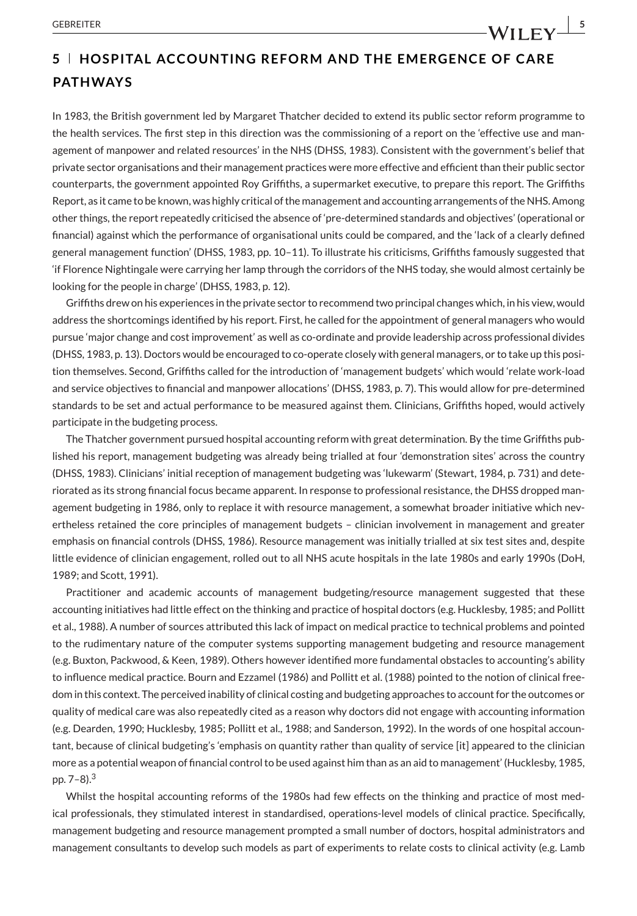## **5 HOSPITAL ACCOUNTING REFORM AND THE EMERGENCE OF CARE PATHWAYS**

In 1983, the British government led by Margaret Thatcher decided to extend its public sector reform programme to the health services. The first step in this direction was the commissioning of a report on the 'effective use and management of manpower and related resources' in the NHS (DHSS, 1983). Consistent with the government's belief that private sector organisations and their management practices were more effective and efficient than their public sector counterparts, the government appointed Roy Griffiths, a supermarket executive, to prepare this report. The Griffiths Report, as it came to be known, was highly critical of the management and accounting arrangements of the NHS. Among other things, the report repeatedly criticised the absence of 'pre-determined standards and objectives' (operational or financial) against which the performance of organisational units could be compared, and the 'lack of a clearly defined general management function' (DHSS, 1983, pp. 10–11). To illustrate his criticisms, Griffiths famously suggested that 'if Florence Nightingale were carrying her lamp through the corridors of the NHS today, she would almost certainly be looking for the people in charge' (DHSS, 1983, p. 12).

Griffiths drew on his experiences in the private sector to recommend two principal changes which, in his view, would address the shortcomings identified by his report. First, he called for the appointment of general managers who would pursue 'major change and cost improvement' as well as co-ordinate and provide leadership across professional divides (DHSS, 1983, p. 13). Doctors would be encouraged to co-operate closely with general managers, or to take up this position themselves. Second, Griffiths called for the introduction of 'management budgets' which would 'relate work-load and service objectives to financial and manpower allocations' (DHSS, 1983, p. 7). This would allow for pre-determined standards to be set and actual performance to be measured against them. Clinicians, Griffiths hoped, would actively participate in the budgeting process.

The Thatcher government pursued hospital accounting reform with great determination. By the time Griffiths published his report, management budgeting was already being trialled at four 'demonstration sites' across the country (DHSS, 1983). Clinicians' initial reception of management budgeting was 'lukewarm' (Stewart, 1984, p. 731) and deteriorated as its strong financial focus became apparent. In response to professional resistance, the DHSS dropped management budgeting in 1986, only to replace it with resource management, a somewhat broader initiative which nevertheless retained the core principles of management budgets – clinician involvement in management and greater emphasis on financial controls (DHSS, 1986). Resource management was initially trialled at six test sites and, despite little evidence of clinician engagement, rolled out to all NHS acute hospitals in the late 1980s and early 1990s (DoH, 1989; and Scott, 1991).

Practitioner and academic accounts of management budgeting/resource management suggested that these accounting initiatives had little effect on the thinking and practice of hospital doctors (e.g. Hucklesby, 1985; and Pollitt et al., 1988). A number of sources attributed this lack of impact on medical practice to technical problems and pointed to the rudimentary nature of the computer systems supporting management budgeting and resource management (e.g. Buxton, Packwood, & Keen, 1989). Others however identified more fundamental obstacles to accounting's ability to influence medical practice. Bourn and Ezzamel (1986) and Pollitt et al. (1988) pointed to the notion of clinical freedom in this context. The perceived inability of clinical costing and budgeting approaches to account for the outcomes or quality of medical care was also repeatedly cited as a reason why doctors did not engage with accounting information (e.g. Dearden, 1990; Hucklesby, 1985; Pollitt et al., 1988; and Sanderson, 1992). In the words of one hospital accountant, because of clinical budgeting's 'emphasis on quantity rather than quality of service [it] appeared to the clinician more as a potential weapon of financial control to be used against him than as an aid to management' (Hucklesby, 1985, pp.  $7-8$ ). $3$ 

Whilst the hospital accounting reforms of the 1980s had few effects on the thinking and practice of most medical professionals, they stimulated interest in standardised, operations-level models of clinical practice. Specifically, management budgeting and resource management prompted a small number of doctors, hospital administrators and management consultants to develop such models as part of experiments to relate costs to clinical activity (e.g. Lamb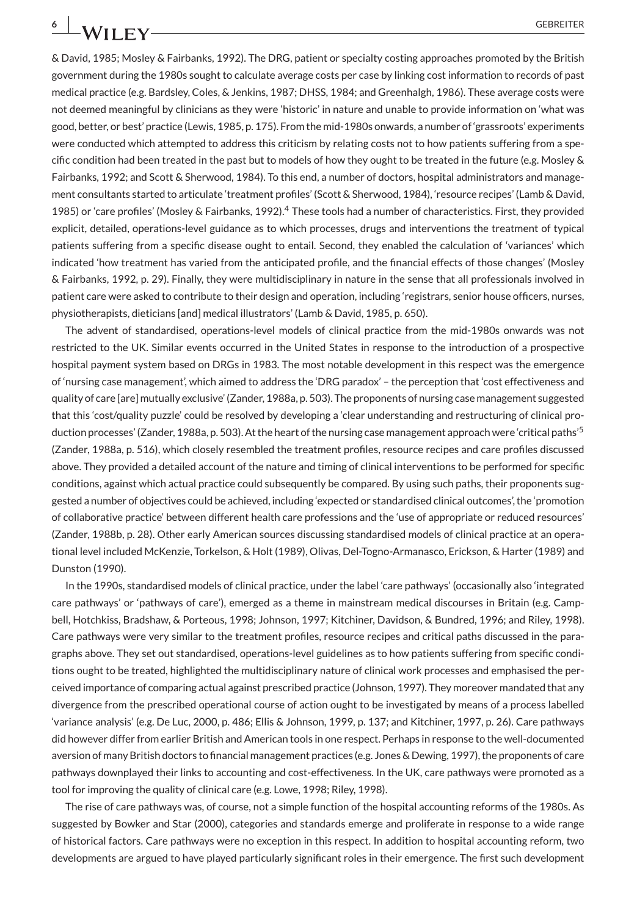& David, 1985; Mosley & Fairbanks, 1992). The DRG, patient or specialty costing approaches promoted by the British government during the 1980s sought to calculate average costs per case by linking cost information to records of past medical practice (e.g. Bardsley, Coles, & Jenkins, 1987; DHSS, 1984; and Greenhalgh, 1986). These average costs were not deemed meaningful by clinicians as they were 'historic' in nature and unable to provide information on 'what was good, better, or best' practice (Lewis, 1985, p. 175). From the mid-1980s onwards, a number of 'grassroots' experiments were conducted which attempted to address this criticism by relating costs not to how patients suffering from a specific condition had been treated in the past but to models of how they ought to be treated in the future (e.g. Mosley & Fairbanks, 1992; and Scott & Sherwood, 1984). To this end, a number of doctors, hospital administrators and management consultants started to articulate 'treatment profiles' (Scott & Sherwood, 1984), 'resource recipes' (Lamb & David, 1985) or 'care profiles' (Mosley & Fairbanks, 1992).<sup>4</sup> These tools had a number of characteristics. First, they provided explicit, detailed, operations-level guidance as to which processes, drugs and interventions the treatment of typical patients suffering from a specific disease ought to entail. Second, they enabled the calculation of 'variances' which indicated 'how treatment has varied from the anticipated profile, and the financial effects of those changes' (Mosley & Fairbanks, 1992, p. 29). Finally, they were multidisciplinary in nature in the sense that all professionals involved in patient care were asked to contribute to their design and operation, including 'registrars, senior house officers, nurses, physiotherapists, dieticians [and] medical illustrators' (Lamb & David, 1985, p. 650).

The advent of standardised, operations-level models of clinical practice from the mid-1980s onwards was not restricted to the UK. Similar events occurred in the United States in response to the introduction of a prospective hospital payment system based on DRGs in 1983. The most notable development in this respect was the emergence of 'nursing case management', which aimed to address the 'DRG paradox' – the perception that 'cost effectiveness and quality of care [are] mutually exclusive' (Zander, 1988a, p. 503). The proponents of nursing case management suggested that this 'cost/quality puzzle' could be resolved by developing a 'clear understanding and restructuring of clinical production processes' (Zander, 1988a, p. 503). At the heart of the nursing case management approach were 'critical paths'<sup>5</sup> (Zander, 1988a, p. 516), which closely resembled the treatment profiles, resource recipes and care profiles discussed above. They provided a detailed account of the nature and timing of clinical interventions to be performed for specific conditions, against which actual practice could subsequently be compared. By using such paths, their proponents suggested a number of objectives could be achieved, including 'expected or standardised clinical outcomes', the 'promotion of collaborative practice' between different health care professions and the 'use of appropriate or reduced resources' (Zander, 1988b, p. 28). Other early American sources discussing standardised models of clinical practice at an operational level included McKenzie, Torkelson, & Holt (1989), Olivas, Del-Togno-Armanasco, Erickson, & Harter (1989) and Dunston (1990).

In the 1990s, standardised models of clinical practice, under the label 'care pathways' (occasionally also 'integrated care pathways' or 'pathways of care'), emerged as a theme in mainstream medical discourses in Britain (e.g. Campbell, Hotchkiss, Bradshaw, & Porteous, 1998; Johnson, 1997; Kitchiner, Davidson, & Bundred, 1996; and Riley, 1998). Care pathways were very similar to the treatment profiles, resource recipes and critical paths discussed in the paragraphs above. They set out standardised, operations-level guidelines as to how patients suffering from specific conditions ought to be treated, highlighted the multidisciplinary nature of clinical work processes and emphasised the perceived importance of comparing actual against prescribed practice (Johnson, 1997). They moreover mandated that any divergence from the prescribed operational course of action ought to be investigated by means of a process labelled 'variance analysis' (e.g. De Luc, 2000, p. 486; Ellis & Johnson, 1999, p. 137; and Kitchiner, 1997, p. 26). Care pathways did however differ from earlier British and American tools in one respect. Perhaps in response to the well-documented aversion of many British doctors to financial management practices (e.g. Jones & Dewing, 1997), the proponents of care pathways downplayed their links to accounting and cost-effectiveness. In the UK, care pathways were promoted as a tool for improving the quality of clinical care (e.g. Lowe, 1998; Riley, 1998).

The rise of care pathways was, of course, not a simple function of the hospital accounting reforms of the 1980s. As suggested by Bowker and Star (2000), categories and standards emerge and proliferate in response to a wide range of historical factors. Care pathways were no exception in this respect. In addition to hospital accounting reform, two developments are argued to have played particularly significant roles in their emergence. The first such development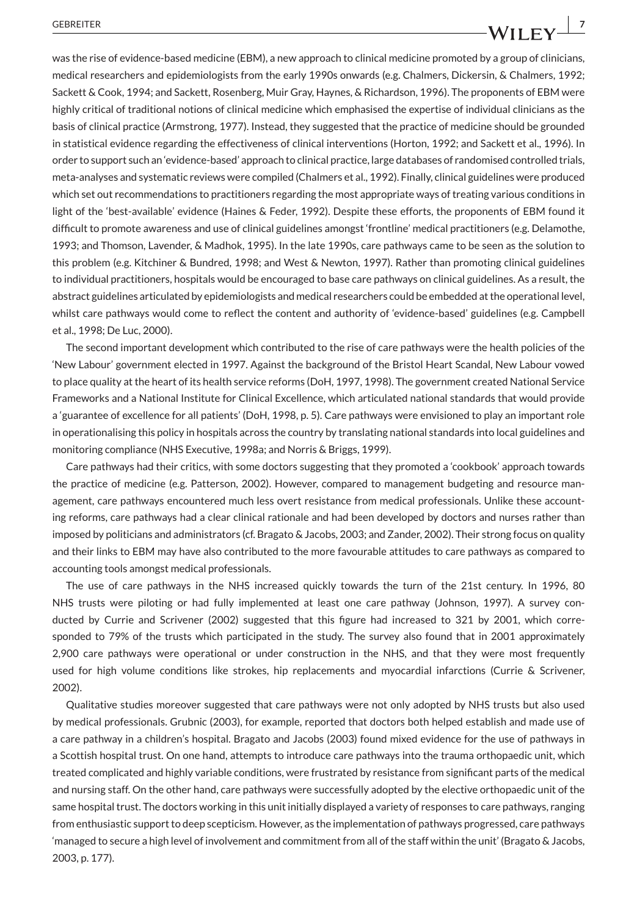was the rise of evidence-based medicine (EBM), a new approach to clinical medicine promoted by a group of clinicians, medical researchers and epidemiologists from the early 1990s onwards (e.g. Chalmers, Dickersin, & Chalmers, 1992; Sackett & Cook, 1994; and Sackett, Rosenberg, Muir Gray, Haynes, & Richardson, 1996). The proponents of EBM were highly critical of traditional notions of clinical medicine which emphasised the expertise of individual clinicians as the basis of clinical practice (Armstrong, 1977). Instead, they suggested that the practice of medicine should be grounded in statistical evidence regarding the effectiveness of clinical interventions (Horton, 1992; and Sackett et al., 1996). In order to support such an 'evidence-based' approach to clinical practice, large databases of randomised controlled trials, meta-analyses and systematic reviews were compiled (Chalmers et al., 1992). Finally, clinical guidelines were produced which set out recommendations to practitioners regarding the most appropriate ways of treating various conditions in light of the 'best-available' evidence (Haines & Feder, 1992). Despite these efforts, the proponents of EBM found it difficult to promote awareness and use of clinical guidelines amongst 'frontline' medical practitioners (e.g. Delamothe, 1993; and Thomson, Lavender, & Madhok, 1995). In the late 1990s, care pathways came to be seen as the solution to this problem (e.g. Kitchiner & Bundred, 1998; and West & Newton, 1997). Rather than promoting clinical guidelines to individual practitioners, hospitals would be encouraged to base care pathways on clinical guidelines. As a result, the abstract guidelines articulated by epidemiologists and medical researchers could be embedded at the operational level, whilst care pathways would come to reflect the content and authority of 'evidence-based' guidelines (e.g. Campbell et al., 1998; De Luc, 2000).

The second important development which contributed to the rise of care pathways were the health policies of the 'New Labour' government elected in 1997. Against the background of the Bristol Heart Scandal, New Labour vowed to place quality at the heart of its health service reforms (DoH, 1997, 1998). The government created National Service Frameworks and a National Institute for Clinical Excellence, which articulated national standards that would provide a 'guarantee of excellence for all patients' (DoH, 1998, p. 5). Care pathways were envisioned to play an important role in operationalising this policy in hospitals across the country by translating national standards into local guidelines and monitoring compliance (NHS Executive, 1998a; and Norris & Briggs, 1999).

Care pathways had their critics, with some doctors suggesting that they promoted a 'cookbook' approach towards the practice of medicine (e.g. Patterson, 2002). However, compared to management budgeting and resource management, care pathways encountered much less overt resistance from medical professionals. Unlike these accounting reforms, care pathways had a clear clinical rationale and had been developed by doctors and nurses rather than imposed by politicians and administrators (cf. Bragato & Jacobs, 2003; and Zander, 2002). Their strong focus on quality and their links to EBM may have also contributed to the more favourable attitudes to care pathways as compared to accounting tools amongst medical professionals.

The use of care pathways in the NHS increased quickly towards the turn of the 21st century. In 1996, 80 NHS trusts were piloting or had fully implemented at least one care pathway (Johnson, 1997). A survey conducted by Currie and Scrivener (2002) suggested that this figure had increased to 321 by 2001, which corresponded to 79% of the trusts which participated in the study. The survey also found that in 2001 approximately 2,900 care pathways were operational or under construction in the NHS, and that they were most frequently used for high volume conditions like strokes, hip replacements and myocardial infarctions (Currie & Scrivener, 2002).

Qualitative studies moreover suggested that care pathways were not only adopted by NHS trusts but also used by medical professionals. Grubnic (2003), for example, reported that doctors both helped establish and made use of a care pathway in a children's hospital. Bragato and Jacobs (2003) found mixed evidence for the use of pathways in a Scottish hospital trust. On one hand, attempts to introduce care pathways into the trauma orthopaedic unit, which treated complicated and highly variable conditions, were frustrated by resistance from significant parts of the medical and nursing staff. On the other hand, care pathways were successfully adopted by the elective orthopaedic unit of the same hospital trust. The doctors working in this unit initially displayed a variety of responses to care pathways, ranging from enthusiastic support to deep scepticism. However, as the implementation of pathways progressed, care pathways 'managed to secure a high level of involvement and commitment from all of the staff within the unit' (Bragato & Jacobs, 2003, p. 177).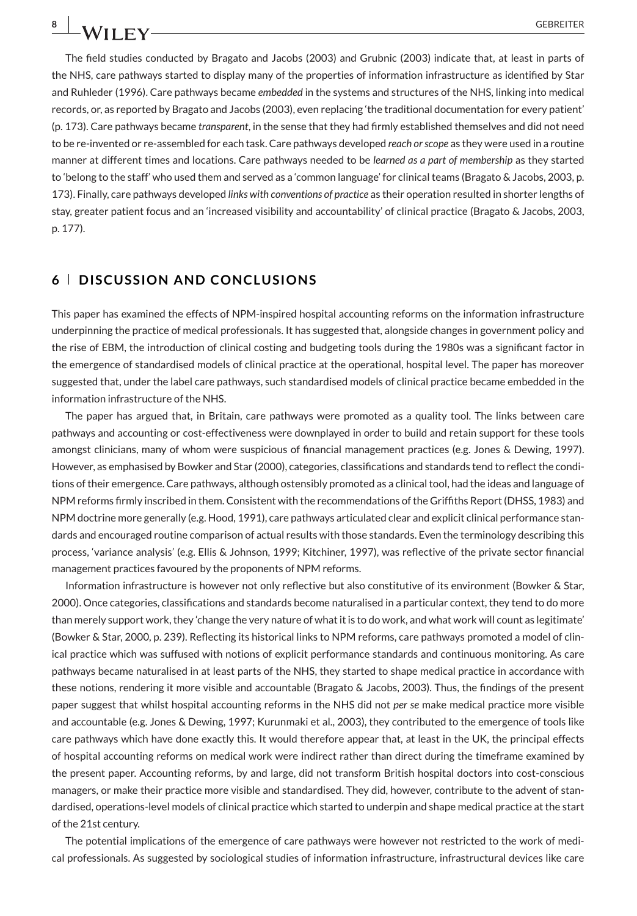The field studies conducted by Bragato and Jacobs (2003) and Grubnic (2003) indicate that, at least in parts of the NHS, care pathways started to display many of the properties of information infrastructure as identified by Star and Ruhleder (1996). Care pathways became *embedded* in the systems and structures of the NHS, linking into medical records, or, as reported by Bragato and Jacobs (2003), even replacing 'the traditional documentation for every patient' (p. 173). Care pathways became *transparent*, in the sense that they had firmly established themselves and did not need to be re-invented or re-assembled for each task. Care pathways developed *reach or scope* as they were used in a routine manner at different times and locations. Care pathways needed to be *learned as a part of membership* as they started to 'belong to the staff' who used them and served as a 'common language' for clinical teams (Bragato & Jacobs, 2003, p. 173). Finally, care pathways developed *links with conventions of practice* as their operation resulted in shorter lengths of stay, greater patient focus and an 'increased visibility and accountability' of clinical practice (Bragato & Jacobs, 2003, p. 177).

## **6 DISCUSSION AND CONCLUSIONS**

This paper has examined the effects of NPM-inspired hospital accounting reforms on the information infrastructure underpinning the practice of medical professionals. It has suggested that, alongside changes in government policy and the rise of EBM, the introduction of clinical costing and budgeting tools during the 1980s was a significant factor in the emergence of standardised models of clinical practice at the operational, hospital level. The paper has moreover suggested that, under the label care pathways, such standardised models of clinical practice became embedded in the information infrastructure of the NHS.

The paper has argued that, in Britain, care pathways were promoted as a quality tool. The links between care pathways and accounting or cost-effectiveness were downplayed in order to build and retain support for these tools amongst clinicians, many of whom were suspicious of financial management practices (e.g. Jones & Dewing, 1997). However, as emphasised by Bowker and Star (2000), categories, classifications and standards tend to reflect the conditions of their emergence. Care pathways, although ostensibly promoted as a clinical tool, had the ideas and language of NPM reforms firmly inscribed in them. Consistent with the recommendations of the Griffiths Report (DHSS, 1983) and NPM doctrine more generally (e.g. Hood, 1991), care pathways articulated clear and explicit clinical performance standards and encouraged routine comparison of actual results with those standards. Even the terminology describing this process, 'variance analysis' (e.g. Ellis & Johnson, 1999; Kitchiner, 1997), was reflective of the private sector financial management practices favoured by the proponents of NPM reforms.

Information infrastructure is however not only reflective but also constitutive of its environment (Bowker & Star, 2000). Once categories, classifications and standards become naturalised in a particular context, they tend to do more than merely support work, they 'change the very nature of what it is to do work, and what work will count as legitimate' (Bowker & Star, 2000, p. 239). Reflecting its historical links to NPM reforms, care pathways promoted a model of clinical practice which was suffused with notions of explicit performance standards and continuous monitoring. As care pathways became naturalised in at least parts of the NHS, they started to shape medical practice in accordance with these notions, rendering it more visible and accountable (Bragato & Jacobs, 2003). Thus, the findings of the present paper suggest that whilst hospital accounting reforms in the NHS did not *per se* make medical practice more visible and accountable (e.g. Jones & Dewing, 1997; Kurunmaki et al., 2003), they contributed to the emergence of tools like care pathways which have done exactly this. It would therefore appear that, at least in the UK, the principal effects of hospital accounting reforms on medical work were indirect rather than direct during the timeframe examined by the present paper. Accounting reforms, by and large, did not transform British hospital doctors into cost-conscious managers, or make their practice more visible and standardised. They did, however, contribute to the advent of standardised, operations-level models of clinical practice which started to underpin and shape medical practice at the start of the 21st century.

The potential implications of the emergence of care pathways were however not restricted to the work of medical professionals. As suggested by sociological studies of information infrastructure, infrastructural devices like care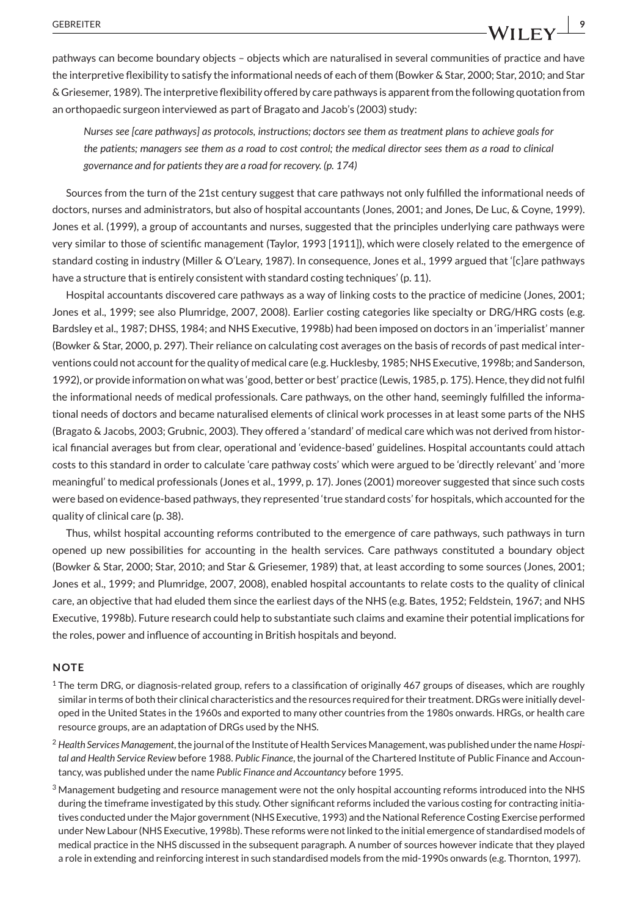pathways can become boundary objects – objects which are naturalised in several communities of practice and have the interpretive flexibility to satisfy the informational needs of each of them (Bowker & Star, 2000; Star, 2010; and Star & Griesemer, 1989). The interpretive flexibility offered by care pathways is apparent from the following quotation from an orthopaedic surgeon interviewed as part of Bragato and Jacob's (2003) study:

*Nurses see [care pathways] as protocols, instructions; doctors see them as treatment plans to achieve goals for the patients; managers see them as a road to cost control; the medical director sees them as a road to clinical governance and for patients they are a road for recovery. (p. 174)*

Sources from the turn of the 21st century suggest that care pathways not only fulfilled the informational needs of doctors, nurses and administrators, but also of hospital accountants (Jones, 2001; and Jones, De Luc, & Coyne, 1999). Jones et al. (1999), a group of accountants and nurses, suggested that the principles underlying care pathways were very similar to those of scientific management (Taylor, 1993 [1911]), which were closely related to the emergence of standard costing in industry (Miller & O'Leary, 1987). In consequence, Jones et al., 1999 argued that '[c]are pathways have a structure that is entirely consistent with standard costing techniques' (p. 11).

Hospital accountants discovered care pathways as a way of linking costs to the practice of medicine (Jones, 2001; Jones et al., 1999; see also Plumridge, 2007, 2008). Earlier costing categories like specialty or DRG/HRG costs (e.g. Bardsley et al., 1987; DHSS, 1984; and NHS Executive, 1998b) had been imposed on doctors in an 'imperialist' manner (Bowker & Star, 2000, p. 297). Their reliance on calculating cost averages on the basis of records of past medical interventions could not account for the quality of medical care (e.g. Hucklesby, 1985; NHS Executive, 1998b; and Sanderson, 1992), or provide information on what was 'good, better or best' practice (Lewis, 1985, p. 175). Hence, they did not fulfil the informational needs of medical professionals. Care pathways, on the other hand, seemingly fulfilled the informational needs of doctors and became naturalised elements of clinical work processes in at least some parts of the NHS (Bragato & Jacobs, 2003; Grubnic, 2003). They offered a 'standard' of medical care which was not derived from historical financial averages but from clear, operational and 'evidence-based' guidelines. Hospital accountants could attach costs to this standard in order to calculate 'care pathway costs' which were argued to be 'directly relevant' and 'more meaningful' to medical professionals (Jones et al., 1999, p. 17). Jones (2001) moreover suggested that since such costs were based on evidence-based pathways, they represented 'true standard costs' for hospitals, which accounted for the quality of clinical care (p. 38).

Thus, whilst hospital accounting reforms contributed to the emergence of care pathways, such pathways in turn opened up new possibilities for accounting in the health services. Care pathways constituted a boundary object (Bowker & Star, 2000; Star, 2010; and Star & Griesemer, 1989) that, at least according to some sources (Jones, 2001; Jones et al., 1999; and Plumridge, 2007, 2008), enabled hospital accountants to relate costs to the quality of clinical care, an objective that had eluded them since the earliest days of the NHS (e.g. Bates, 1952; Feldstein, 1967; and NHS Executive, 1998b). Future research could help to substantiate such claims and examine their potential implications for the roles, power and influence of accounting in British hospitals and beyond.

#### **NOTE**

- $1$  The term DRG, or diagnosis-related group, refers to a classification of originally 467 groups of diseases, which are roughly similar in terms of both their clinical characteristics and the resources required for their treatment. DRGs were initially developed in the United States in the 1960s and exported to many other countries from the 1980s onwards. HRGs, or health care resource groups, are an adaptation of DRGs used by the NHS.
- <sup>2</sup> *Health Services Management*, the journal of the Institute of Health Services Management, was published under the name*Hospital and Health Service Review* before 1988. *Public Finance*, the journal of the Chartered Institute of Public Finance and Accountancy, was published under the name *Public Finance and Accountancy* before 1995.
- <sup>3</sup> Management budgeting and resource management were not the only hospital accounting reforms introduced into the NHS during the timeframe investigated by this study. Other significant reforms included the various costing for contracting initiatives conducted under the Major government (NHS Executive, 1993) and the National Reference Costing Exercise performed under New Labour (NHS Executive, 1998b). These reforms were not linked to the initial emergence of standardised models of medical practice in the NHS discussed in the subsequent paragraph. A number of sources however indicate that they played a role in extending and reinforcing interest in such standardised models from the mid-1990s onwards (e.g. Thornton, 1997).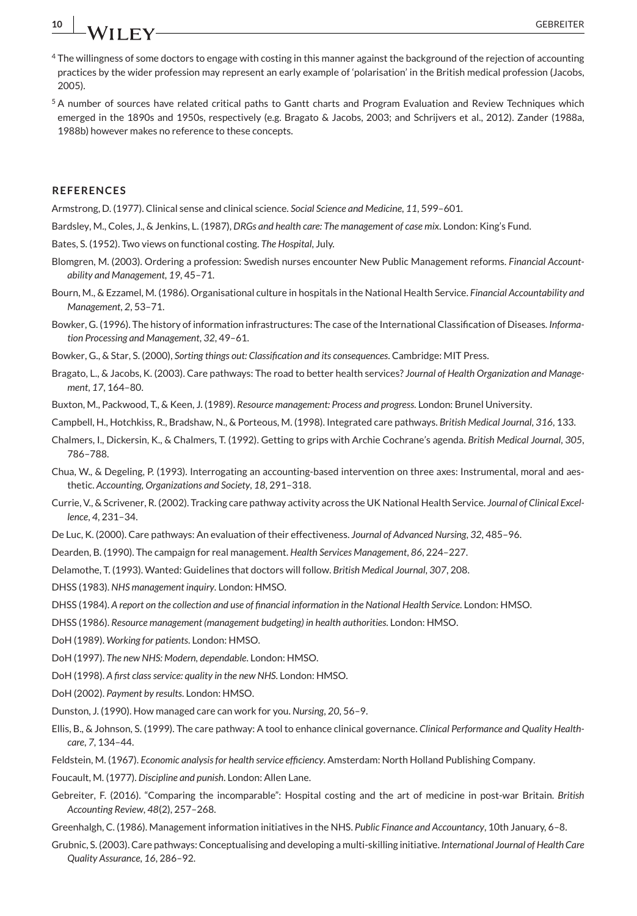- <sup>4</sup> The willingness of some doctors to engage with costing in this manner against the background of the rejection of accounting practices by the wider profession may represent an early example of 'polarisation' in the British medical profession (Jacobs, 2005).
- <sup>5</sup> A number of sources have related critical paths to Gantt charts and Program Evaluation and Review Techniques which emerged in the 1890s and 1950s, respectively (e.g. Bragato & Jacobs, 2003; and Schrijvers et al., 2012). Zander (1988a, 1988b) however makes no reference to these concepts.

#### **REFERENCES**

Armstrong, D. (1977). Clinical sense and clinical science. *Social Science and Medicine*, *11*, 599–601.

- Bardsley, M., Coles, J., & Jenkins, L. (1987), *DRGs and health care: The management of case mix*. London: King's Fund.
- Bates, S. (1952). Two views on functional costing. *The Hospital*, July.
- Blomgren, M. (2003). Ordering a profession: Swedish nurses encounter New Public Management reforms. *Financial Accountability and Management*, *19*, 45–71.
- Bourn, M., & Ezzamel, M. (1986). Organisational culture in hospitals in the National Health Service. *Financial Accountability and Management*, *2*, 53–71.
- Bowker, G. (1996). The history of information infrastructures: The case of the International Classification of Diseases. *Information Processing and Management*, *32*, 49–61.
- Bowker, G., & Star, S. (2000), *Sorting things out: Classification and its consequences*. Cambridge: MIT Press.
- Bragato, L., & Jacobs, K. (2003). Care pathways: The road to better health services? *Journal of Health Organization and Management*, *17*, 164–80.
- Buxton, M., Packwood, T., & Keen, J. (1989). *Resource management: Process and progress*. London: Brunel University.
- Campbell, H., Hotchkiss, R., Bradshaw, N., & Porteous, M. (1998). Integrated care pathways. *British Medical Journal*, *316*, 133.
- Chalmers, I., Dickersin, K., & Chalmers, T. (1992). Getting to grips with Archie Cochrane's agenda. *British Medical Journal*, *305*, 786–788.
- Chua, W., & Degeling, P. (1993). Interrogating an accounting-based intervention on three axes: Instrumental, moral and aesthetic. *Accounting, Organizations and Society*, *18*, 291–318.
- Currie, V., & Scrivener, R. (2002). Tracking care pathway activity across the UK National Health Service. *Journal of Clinical Excellence*, *4*, 231–34.
- De Luc, K. (2000). Care pathways: An evaluation of their effectiveness. *Journal of Advanced Nursing*, *32*, 485–96.
- Dearden, B. (1990). The campaign for real management. *Health Services Management*, *86*, 224–227.
- Delamothe, T. (1993). Wanted: Guidelines that doctors will follow. *British Medical Journal*, *307*, 208.

DHSS (1983). *NHS management inquiry*. London: HMSO.

- DHSS (1984). *A report on the collection and use of financial information in the National Health Service*. London: HMSO.
- DHSS (1986). *Resource management (management budgeting) in health authorities*. London: HMSO.
- DoH (1989). *Working for patients*. London: HMSO.
- DoH (1997). *The new NHS: Modern, dependable*. London: HMSO.
- DoH (1998). *A first class service: quality in the new NHS*. London: HMSO.
- DoH (2002). *Payment by results*. London: HMSO.
- Dunston, J. (1990). How managed care can work for you. *Nursing*, *20*, 56–9.
- Ellis, B., & Johnson, S. (1999). The care pathway: A tool to enhance clinical governance. *Clinical Performance and Quality Healthcare*, *7*, 134–44.
- Feldstein, M. (1967). *Economic analysis for health service efficiency*. Amsterdam: North Holland Publishing Company.

Foucault, M. (1977). *Discipline and punish*. London: Allen Lane.

- Gebreiter, F. (2016). "Comparing the incomparable": Hospital costing and the art of medicine in post-war Britain. *British Accounting Review*, *48*(2), 257–268.
- Greenhalgh, C. (1986). Management information initiatives in the NHS. *Public Finance and Accountancy*, 10th January, 6–8.
- Grubnic, S. (2003). Care pathways: Conceptualising and developing a multi-skilling initiative. *International Journal of Health Care Quality Assurance*, *16*, 286–92.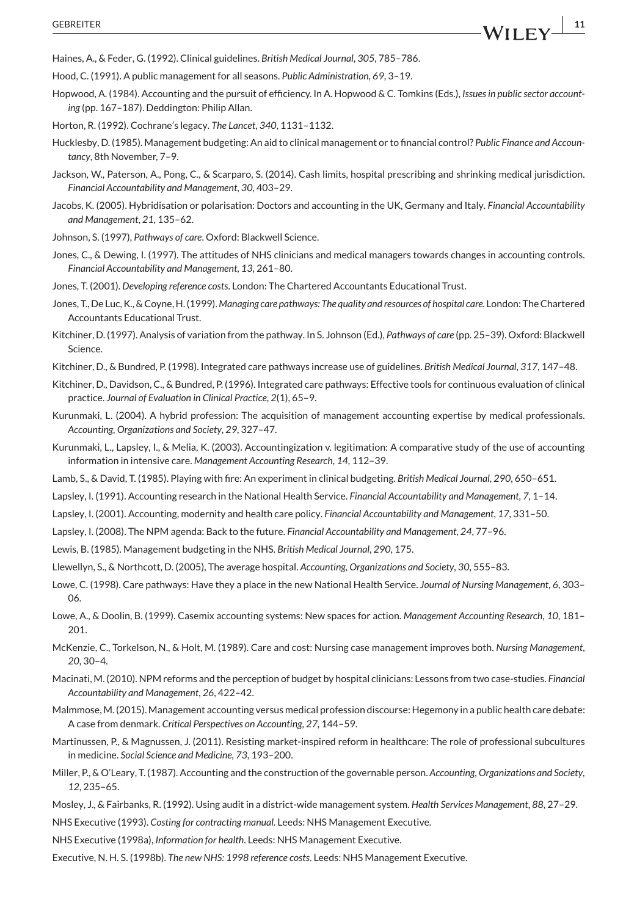Haines, A., & Feder, G. (1992). Clinical guidelines. *British Medical Journal*, *305*, 785–786.

Hood, C. (1991). A public management for all seasons. *Public Administration*, *69*, 3–19.

Hopwood, A. (1984). Accounting and the pursuit of efficiency. In A. Hopwood & C. Tomkins (Eds.), *Issues in public sector accounting* (pp. 167–187). Deddington: Philip Allan.

Horton, R. (1992). Cochrane's legacy. *The Lancet*, *340*, 1131–1132.

- Hucklesby, D. (1985). Management budgeting: An aid to clinical management or to financial control? *Public Finance and Accountancy*, 8th November, 7–9.
- Jackson, W., Paterson, A., Pong, C., & Scarparo, S. (2014). Cash limits, hospital prescribing and shrinking medical jurisdiction. *Financial Accountability and Management*, *30*, 403–29.
- Jacobs, K. (2005). Hybridisation or polarisation: Doctors and accounting in the UK, Germany and Italy. *Financial Accountability and Management*, *21*, 135–62.
- Johnson, S. (1997), *Pathways of care*. Oxford: Blackwell Science.
- Jones, C., & Dewing, I. (1997). The attitudes of NHS clinicians and medical managers towards changes in accounting controls. *Financial Accountability and Management*, *13*, 261–80.
- Jones, T. (2001). *Developing reference costs*. London: The Chartered Accountants Educational Trust.
- Jones, T., De Luc, K., & Coyne, H. (1999). *Managing care pathways: The quality and resources of hospital care*. London: The Chartered Accountants Educational Trust.
- Kitchiner, D. (1997). Analysis of variation from the pathway. In S. Johnson (Ed.), *Pathways of care* (pp. 25–39). Oxford: Blackwell Science.
- Kitchiner, D., & Bundred, P. (1998). Integrated care pathways increase use of guidelines. *British Medical Journal*, *317*, 147–48.
- Kitchiner, D., Davidson, C., & Bundred, P. (1996). Integrated care pathways: Effective tools for continuous evaluation of clinical practice. *Journal of Evaluation in Clinical Practice*, *2*(1), 65–9.
- Kurunmaki, L. (2004). A hybrid profession: The acquisition of management accounting expertise by medical professionals. *Accounting, Organizations and Society*, *29*, 327–47.
- Kurunmaki, L., Lapsley, I., & Melia, K. (2003). Accountingization v. legitimation: A comparative study of the use of accounting information in intensive care. *Management Accounting Research*, *14*, 112–39.
- Lamb, S., & David, T. (1985). Playing with fire: An experiment in clinical budgeting. *British Medical Journal*, *290*, 650–651.
- Lapsley, I. (1991). Accounting research in the National Health Service. *Financial Accountability and Management*, *7*, 1–14.
- Lapsley, I. (2001). Accounting, modernity and health care policy. *Financial Accountability and Management*, *17*, 331–50.
- Lapsley, I. (2008). The NPM agenda: Back to the future. *Financial Accountability and Management*, *24*, 77–96.
- Lewis, B. (1985). Management budgeting in the NHS. *British Medical Journal*, *290*, 175.

Llewellyn, S., & Northcott, D. (2005), The average hospital. *Accounting, Organizations and Society*, *30*, 555–83.

- Lowe, C. (1998). Care pathways: Have they a place in the new National Health Service. *Journal of Nursing Management*, *6*, 303– 06.
- Lowe, A., & Doolin, B. (1999). Casemix accounting systems: New spaces for action. *Management Accounting Research*, *10*, 181– 201.
- McKenzie, C., Torkelson, N., & Holt, M. (1989). Care and cost: Nursing case management improves both. *Nursing Management*, *20*, 30–4.
- Macinati, M. (2010). NPM reforms and the perception of budget by hospital clinicians: Lessons from two case-studies. *Financial Accountability and Management*, *26*, 422–42.
- Malmmose, M. (2015). Management accounting versus medical profession discourse: Hegemony in a public health care debate: A case from denmark. *Critical Perspectives on Accounting*, *27*, 144–59.
- Martinussen, P., & Magnussen, J. (2011). Resisting market-inspired reform in healthcare: The role of professional subcultures in medicine. *Social Science and Medicine*, *73*, 193–200.
- Miller, P., & O'Leary, T. (1987). Accounting and the construction of the governable person. *Accounting, Organizations and Society*, *12*, 235–65.
- Mosley, J., & Fairbanks, R. (1992). Using audit in a district-wide management system. *Health Services Management*, *88*, 27–29.
- NHS Executive (1993). *Costing for contracting manual*. Leeds: NHS Management Executive.
- NHS Executive (1998a), *Information for health*. Leeds: NHS Management Executive.

Executive, N. H. S. (1998b). *The new NHS: 1998 reference costs*. Leeds: NHS Management Executive.